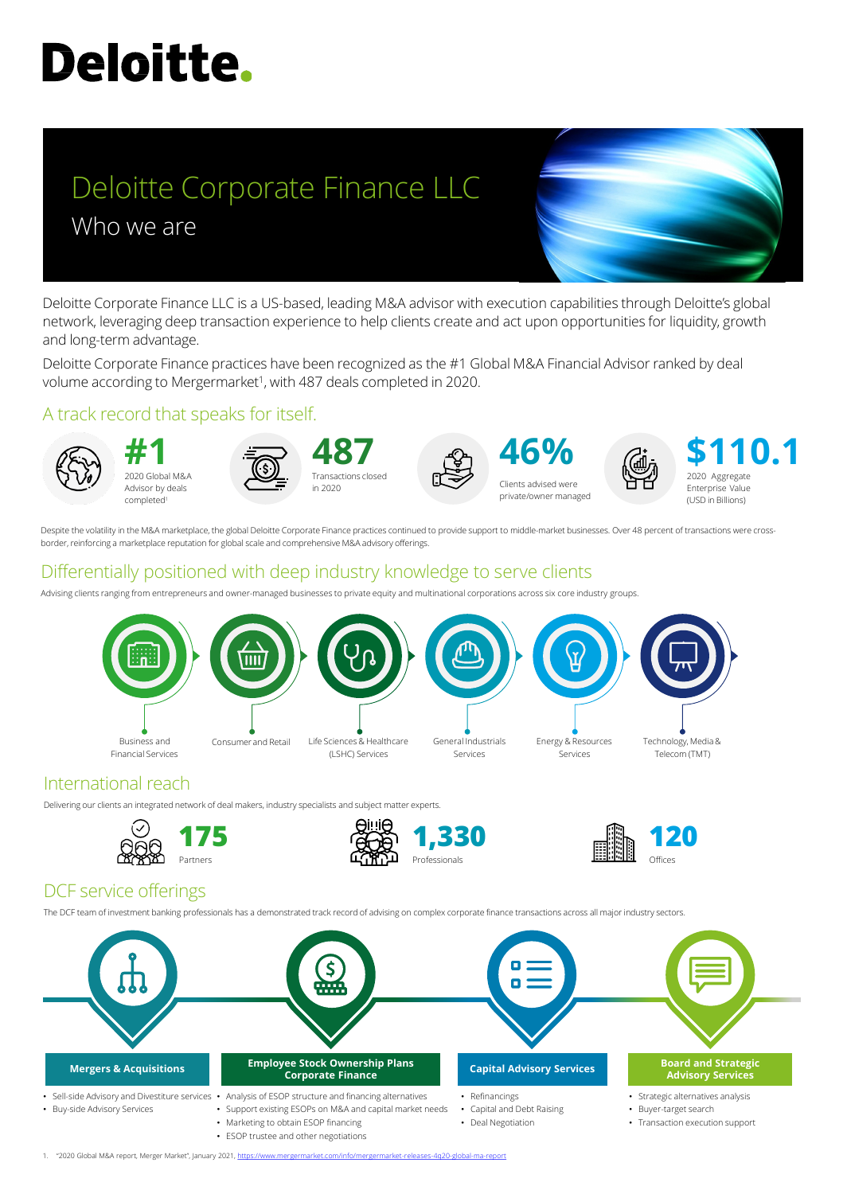# **Deloitte.**

# Deloitte Corporate Finance LLC Who we are

Deloitte Corporate Finance practices have been recognized as the #1 Global M&A Financial Advisor ranked by deal volume according to Mergermarket<sup>1</sup>, with 487 deals completed in 2020.

Deloitte Corporate Finance LLC is a US-based, leading M&A advisor with execution capabilities through Deloitte's global network, leveraging deep transaction experience to help clients create and act upon opportunities for liquidity, growth and long-term advantage.

#### A track record that speaks for itself.

Despite the volatility in the M&A marketplace, the global Deloitte Corporate Finance practices continued to provide support to middle-market businesses. Over 48 percent of transactions were crossborder, reinforcing a marketplace reputation for global scale and comprehensive M&A advisory offerings.



2020 Global M&A Advisor by deals completed1







Clients advised were private/owner managed



2020 Aggregate Enterprise Value (USD in Billions) **\$110.1**

## Differentially positioned with deep industry knowledge to serve clients

Advising clients ranging from entrepreneurs and owner-managed businesses to private equity and multinational corporations across six core industry groups.



#### International reach

Delivering our clients an integrated network of deal makers, industry specialists and subject matter experts.









#### DCF service offerings

The DCF team of investment banking professionals has a demonstrated track record of advising on complex corporate finance transactions across all major industry sectors.



1. "2020 Global M&A report, Merger Market", January 2021, <https://www.mergermarket.com/info/mergermarket-releases-4q20-global-ma-report>